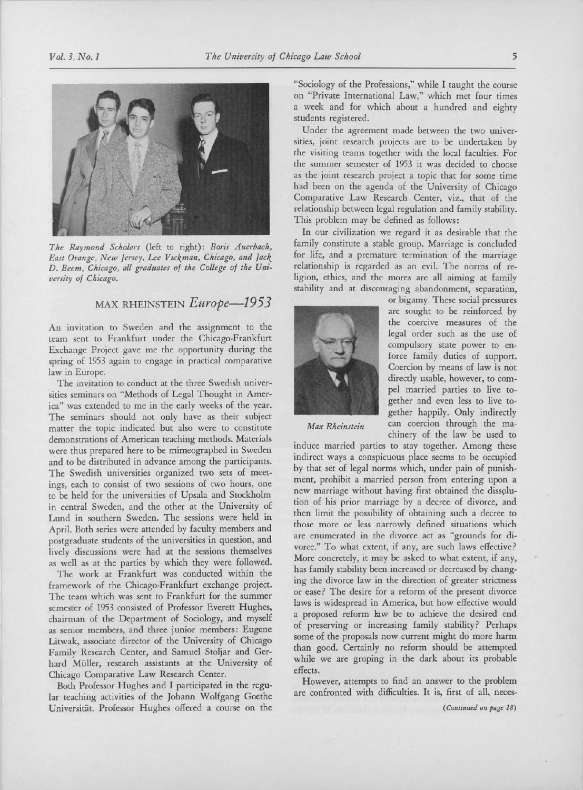

The Raymond Scholars (left to right): Boris Auerbach, East Orange, New Jersey, Lee Vickman, Chicago, and Jack D. Beem, Chicago, all graduates of the College of the University of Chicago.

## MAX RHEINSTEIN Europe-1953

An invitation to Sweden and the assignment to the team sent to Frankfurt under the Chicago-Frankfurt Exchange Project gave me the opportunity during the spring of <sup>1953</sup> again to engage in practical comparative law in Europe.

The invitation to conduct at the three Swedish universities seminars on "Methods of Legal Thought in America" was extended to me in the early weeks of the year. The seminars should not only have as their subject matter the topic indicated but also were to constitute demonstrations of American teaching methods. Materials were thus prepared here to be mimeographed in Sweden and to be distributed in advance among the participants. The Swedish universities organized two sets of meetings, each to consist of two sessions of two hours, one to be held for the universities of Upsala and Stockholm in central Sweden, and the other at the University of Lund in southern Sweden. The sessions were held in April. Both series were attended by faculty members and postgraduate students of the universities in question, and lively discussions were had at the sessions themselves as well as at the parties by which they were followed.

The work at Frankfurt was conducted within the framework of the Chicago-Frankfurt exchange project. The team which was sent to Frankfurt for the summer semester of <sup>1953</sup> consisted of Professor Everett Hughes, chairman of the Department of Sociology, and myself as senior members, and three junior members: Eugene Litwak, associate director of the University of Chicago Family Research Center, and Samuel Stoljar and Gerhard Miiller, research assistants at the University of Chicago Comparative Law Research Center.

Both Professor Hughes and I participated in the regular teaching activities of the Johann Wolfgang Goethe Universitat, Professor Hughes offered <sup>a</sup> course on the

"Sociology of the Professions," while I taught the course on "Private International Law," which met four times <sup>a</sup> week and for which about <sup>a</sup> hundred and eighty students registered.

Under the agreement made between the two universities, joint research projects are to be undertaken by the visiting teams together with the local faculties. For the summer semester of <sup>1953</sup> it was decided to choose as the joint research project <sup>a</sup> topic that for some time had been on the agenda of the University of Chicago Comparative Law Research Center, viz., that of the relationship between legal regulation and family stability. This problem may be defined as follows:

In our civilization we regard it as desirable that the family constitute <sup>a</sup> stable group. Marriage is concluded for life, and a premature termination of the marriage relationship is regarded as an evil. The norms of religion, ethics, and the mores are all aiming at family stability and at discouraging abandonment, separation,



or bigamy. These social pressures are sought to be reinforced by the coercive measures of the legal order such as the use of compulsory state power to enforce family duties of support. Coercion by means of law is not directly usable, however, to compel married parties to live together and even less to live together happily. Only indirectly Max Rheinstein can coercion through the machinery of the law be used to

induce married parties to stay together. Among these indirect ways <sup>a</sup> conspicuous place seems to be occupied by that set of legal norms which, under pain of punishment, prohibit <sup>a</sup> married person from entering upon <sup>a</sup> new marriage without having first obtained the dissolution of his prior marriage by <sup>a</sup> decree of divorce, and then limit the possibility of obtaining such <sup>a</sup> decree to those more or less narrowly defined situations which are enumerated in the divorce act as "grounds for divorce." To what extent, if any, are such laws effective? More concretely, it may be asked to what extent, if any, has family stability been increased or decreased by changing the divorce law in the direction of greater strictness or ease? The desire for <sup>a</sup> reform of the present divorce laws is widespread in America, but how effective would <sup>a</sup> proposed reform law be to achieve the desired end of preserving or increasing family stability? Perhaps some of the proposals now current might do more harm than good. Certainly no reform should be attempted while we are groping in the dark about its probable effects.

However, attempts to find an answer to the problem are confronted with difficulties. It is, first of all, neces-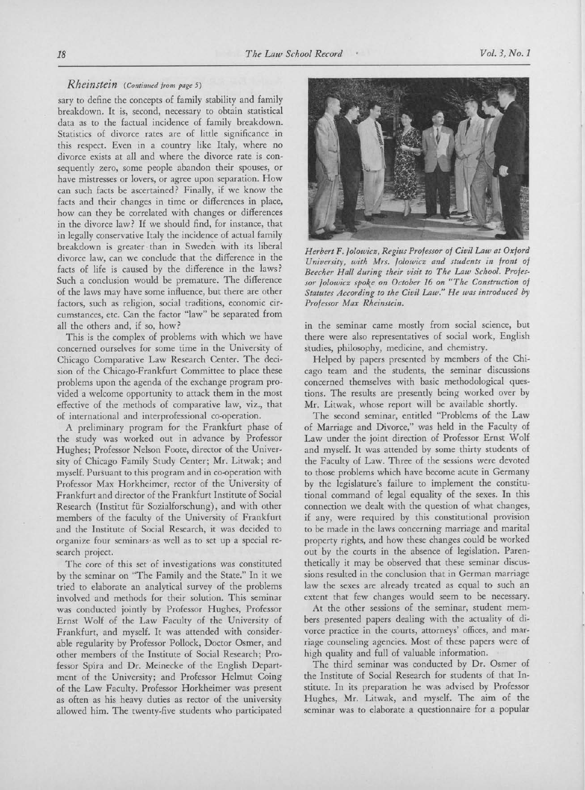## Rheinstein (Continued from page 5)

sary to define the concepts of family stability and family breakdown. It is, second, necessary to obtain statistical data as to the factual incidence of family breakdown. Statistics of divorce rates are of little significance in this respect. Even in <sup>a</sup> country like Italy, where no divorce exists at all and where the divorce rate is consequently zero, some people abandon their spouses, or have mistresses or lovers, or agree upon separation. How can such facts be ascertained? Finally, if we know the facts and their changes in time or differences in place, how can they be correlated with changes or differences in the divorce law? If we should find, for instance, that in legally conservative Italy the incidence of actual family breakdown is greater than in Sweden with its liberal divorce law, can we conclude that the difference in the facts of life is caused by the difference in the laws? Such <sup>a</sup> conclusion would be premature. The difference of the laws may have some influence, but there are other factors, such as religion, social traditions, economic circumstances, etc. Can the factor "law" be separated from all the others and, if so, how?

This is the complex of problems with which we have concerned ourselves for some time in the University of Chicago Comparative Law Research Center. The decision of the Chicago-Frankfurt Committee to place these problems upon the agenda of the exchange program provided <sup>a</sup> welcome opportunity to attack them in the most effective of the methods of comparative law, viz., that of international and interprofessional co-operation.

A preliminary program for the Frankfurt phase of the study was worked out in advance by Professor Hughes; Professor Nelson Foote, director of the University of Chicago Family Study Center; Mr. Litwak; and myself. Pursuant to this program and in co-operation with Professor Max Horkheimer, rector of the University of Frankfurt and director of the Frankfurt Institute of Social Research (Institut für Sozialforschung), and with other members of the faculty of the University of Frankfurt and the Institute of Social Research, it was decided to organize four seminars- as well as to set up <sup>a</sup> special research project.

The core of this set of investigations was constituted by the seminar on "The Family and the State." In it we tried to elaborate an analytical survey of the problems involved and methods for their solution. This seminar was conducted jointly by Professor Hughes, Professor Ernst Wolf of the Law Faculty of the University of Frankfurt, and myself. It was attended with considerable regularity by Professor Pollock, Doctor Osmer, and other members of the Institute of Social Research; Professor Spira and Dr. Meinecke of the English Department of the University; and Professor Helmut Coing of the Law Faculty. Professor Horkheimer was present as often as his heavy duties as rector of the university allowed him. The twenty-five students who participated



Herbert F. Jolowicz, Regius Professor of Civil Law at Oxford University, with Mrs. Jolowicz and students in front of Beecher Hall during their visit to The Law School. Professor Jolowicz spoke on October 16 on "The Construction of Statutes According to the Civil Law." He was introduced by Professor Max Rheinstein.

in the seminar came mostly from social science, but there were also representatives of social work, English studies, philosophy, medicine, and chemistry.

Helped by papers presented by members of the Chicago team and the students, the seminar discussions concerned themselves with basic methodological questions. The results are presently being worked over by Mr. Litwak, whose report will be available shortly.

The second seminar, entitled "Problems of the Law of Marriage and Divorce," was held in the Faculty of Law under the joint direction of Professor Ernst Wolf and myself. It was attended by some thirty students of the Faculty of Law. Three of the sessions were devoted to those problems which have become acute in Germany by the legislature's failure to implement the constitutional command of legal equality of the sexes. In this connection we dealt with the question of what changes, if any, were required by this constitutional provision to be made in the laws concerning marriage and marital property rights, and how these changes could be worked out by the courts in the absence of legislation. Parenthetically it may be observed that these seminar discussions resulted in the conclusion that in German marriage law the sexes are already treated as equal to such an extent that few changes would seem to be necessary.

At the other sessions of the seminar, student members presented papers dealing with the actuality of divorce practice in the courts, attorneys' offices, and marriage counseling agencies. Most of these papers were of high quality and full of valuable information.

The third seminar was conducted by Dr. Osmer of the Institute of Social Research for students of that Institute. In its preparation he was advised by Professor Hughes, Mr. Litwak, and myself. The aim of the seminar was to elaborate <sup>a</sup> questionnaire for <sup>a</sup> popular